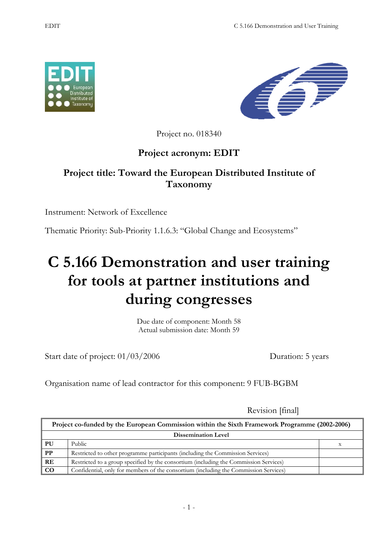



Project no. 018340

## **Project acronym: EDIT**

## **Project title: Toward the European Distributed Institute of Taxonomy**

Instrument: Network of Excellence

Thematic Priority: Sub-Priority 1.1.6.3: "Global Change and Ecosystems"

## **C 5.166 Demonstration and user training for tools at partner institutions and during congresses**

Due date of component: Month 58 Actual submission date: Month 59

Start date of project:  $01/03/2006$  Duration: 5 years

Organisation name of lead contractor for this component: 9 FUB-BGBM

Revision [final]

| Project co-funded by the European Commission within the Sixth Framework Programme (2002-2006) |                                                                                       |  |  |
|-----------------------------------------------------------------------------------------------|---------------------------------------------------------------------------------------|--|--|
| <b>Dissemination Level</b>                                                                    |                                                                                       |  |  |
| PU                                                                                            | Public                                                                                |  |  |
| $\overline{PP}$                                                                               | Restricted to other programme participants (including the Commission Services)        |  |  |
| RE                                                                                            | Restricted to a group specified by the consortium (including the Commission Services) |  |  |
| $\overline{c}$                                                                                | Confidential, only for members of the consortium (including the Commission Services)  |  |  |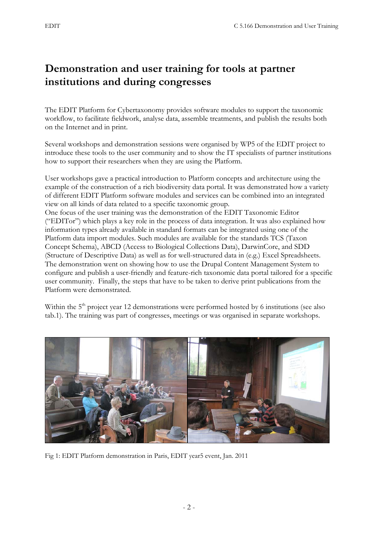## **Demonstration and user training for tools at partner institutions and during congresses**

The EDIT Platform for Cybertaxonomy provides software modules to support the taxonomic workflow, to facilitate fieldwork, analyse data, assemble treatments, and publish the results both on the Internet and in print.

Several workshops and demonstration sessions were organised by WP5 of the EDIT project to introduce these tools to the user community and to show the IT specialists of partner institutions how to support their researchers when they are using the Platform.

User workshops gave a practical introduction to Platform concepts and architecture using the example of the construction of a rich biodiversity data portal. It was demonstrated how a variety of different EDIT Platform software modules and services can be combined into an integrated view on all kinds of data related to a specific taxonomic group.

One focus of the user training was the demonstration of the EDIT Taxonomic Editor ("EDITor") which plays a key role in the process of data integration. It was also explained how information types already available in standard formats can be integrated using one of the Platform data import modules. Such modules are available for the standards TCS (Taxon Concept Schema), ABCD (Access to Biological Collections Data), DarwinCore, and SDD (Structure of Descriptive Data) as well as for well-structured data in (e.g.) Excel Spreadsheets. The demonstration went on showing how to use the Drupal Content Management System to configure and publish a user-friendly and feature-rich taxonomic data portal tailored for a specific user community. Finally, the steps that have to be taken to derive print publications from the Platform were demonstrated.

Within the 5<sup>th</sup> project year 12 demonstrations were performed hosted by 6 institutions (see also tab.1). The training was part of congresses, meetings or was organised in separate workshops.



Fig 1: EDIT Platform demonstration in Paris, EDIT year5 event, Jan. 2011